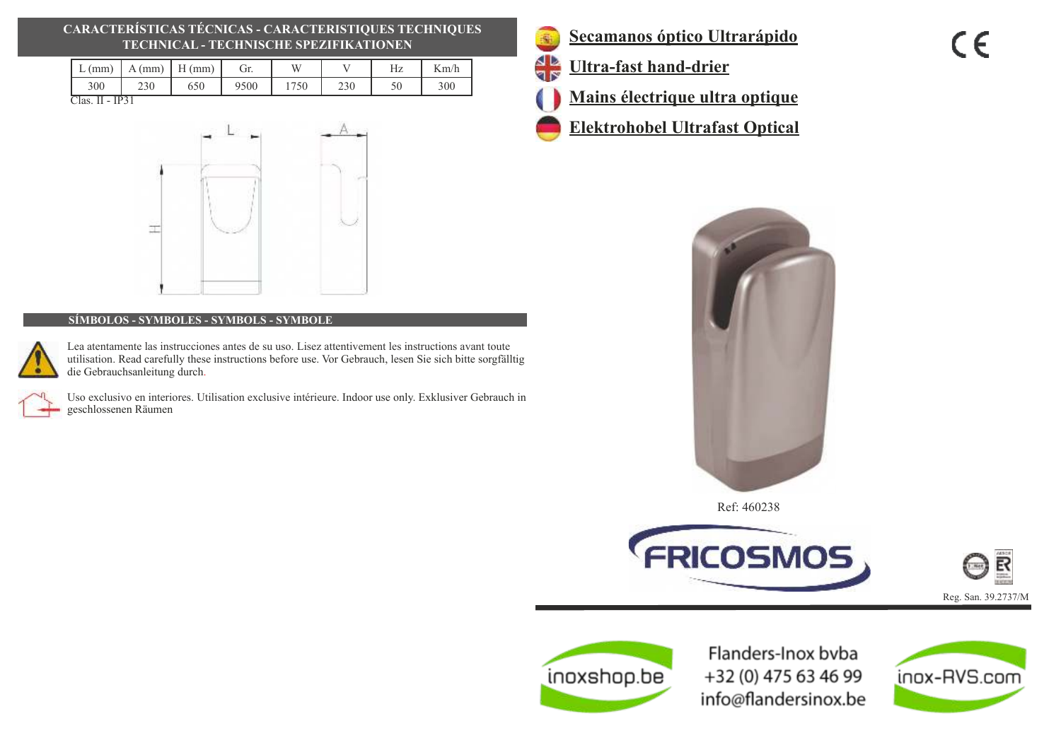# **CARACTERÍSTICAS TÉCNICAS - CARACTERISTIQUES TECHNIQUES TECHNICAL - TECHNISCHE SPEZIFIKATIONEN**

| (mm) | (mm)<br>А | (mm)<br>н |      | W | Hz | $\mathcal{L}$ m/h |
|------|-----------|-----------|------|---|----|-------------------|
| 300  | າາເ       | 650       | 9500 |   |    | 300               |

Clas. II - IP31



## **SÍMBOLOS - SYMBOLES - SYMBOLS - SYMBOLE**

Lea atentamente las instrucciones antes de su uso. Lisez attentivement les instructions avant toute utilisation. Read carefully these instructions before use. Vor Gebrauch, lesen Sie sich bitte sorgfälltig die Gebrauchsanleitung durch.

Uso exclusivo en interiores. Utilisation exclusive intérieure. Indoor use only. Exklusiver Gebrauch in geschlossenen Räumen

- 瓣 A D<br>V IV
	- **Secamanos óptico Ultrarápido**
	- **Ultra-fast hand-drier**
	- **Mains électrique ultra optique**
	- **Elektrohobel Ultrafast Optical**



Ref: 460238







Flanders-Inox byba +32 (0) 475 63 46 99 info@flandersinox.be

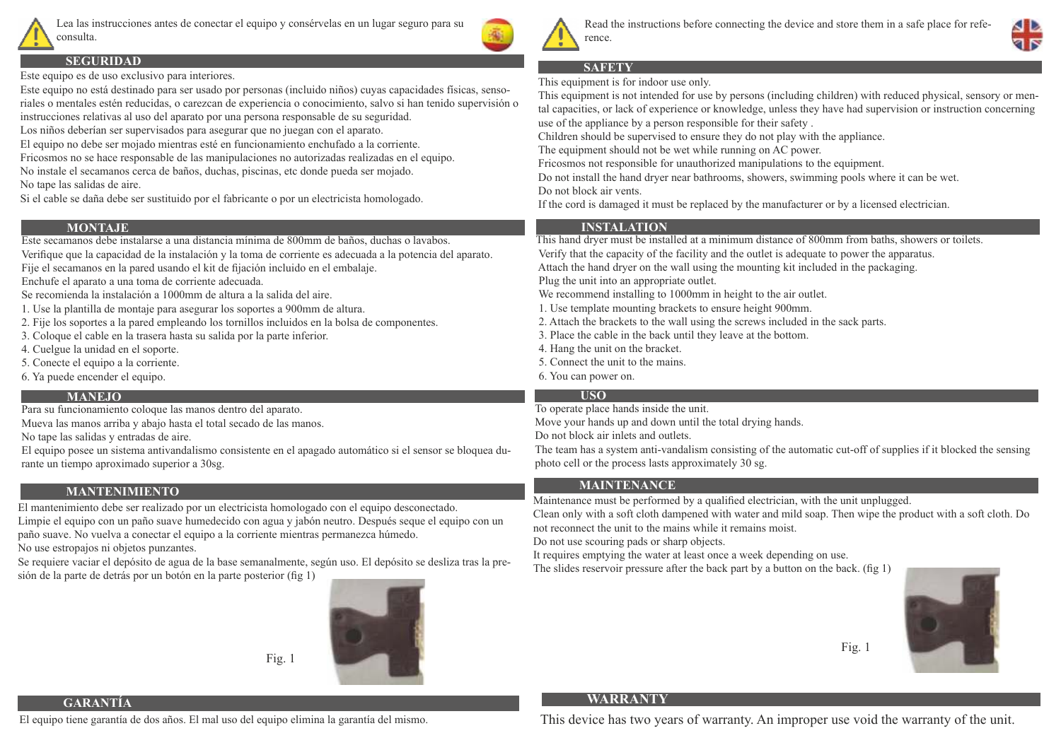

Lea las instrucciones antes de conectar el equipo y consérvelas en un lugar seguro para su consulta.



**SEGURIDAD**

Este equipo es de uso exclusivo para interiores.

Este equipo no está destinado para ser usado por personas (incluido niños) cuyas capacidades físicas, sensoriales o mentales estén reducidas, o carezcan de experiencia o conocimiento, salvo si han tenido supervisión o instrucciones relativas al uso del aparato por una persona responsable de su seguridad.

Los niños deberían ser supervisados para asegurar que no juegan con el aparato.

El equipo no debe ser mojado mientras esté en funcionamiento enchufado a la corriente.

Fricosmos no se hace responsable de las manipulaciones no autorizadas realizadas en el equipo. No instale el secamanos cerca de baños, duchas, piscinas, etc donde pueda ser mojado.

No tape las salidas de aire.

Si el cable se daña debe ser sustituido por el fabricante o por un electricista homologado.

## **MONTAJE**

Este secamanos debe instalarse a una distancia mínima de 800mm de baños, duchas o lavabos.

Verifique que la capacidad de la instalación y la toma de corriente es adecuada a la potencia del aparato.

Fije el secamanos en la pared usando el kit de fijación incluido en el embalaje.

Enchufe el aparato a una toma de corriente adecuada.

- Se recomienda la instalación a 1000mm de altura a la salida del aire.
- 1. Use la plantilla de montaje para asegurar los soportes a 900mm de altura.
- 2. Fije los soportes a la pared empleando los tornillos incluidos en la bolsa de componentes.
- 3. Coloque el cable en la trasera hasta su salida por la parte inferior.
- 4. Cuelgue la unidad en el soporte.
- 5. Conecte el equipo a la corriente.
- 6. Ya puede encender el equipo.

### **MANEJO**

Para su funcionamiento coloque las manos dentro del aparato.

Mueva las manos arriba y abajo hasta el total secado de las manos.

No tape las salidas y entradas de aire.

El equipo posee un sistema antivandalismo consistente en el apagado automático si el sensor se bloquea durante un tiempo aproximado superior a 30sg.

# **MANTENIMIENTO**

El mantenimiento debe ser realizado por un electricista homologado con el equipo desconectado. Limpie el equipo con un paño suave humedecido con agua y jabón neutro. Después seque el equipo con un paño suave. No vuelva a conectar el equipo a la corriente mientras permanezca húmedo.

No use estropajos ni objetos punzantes.

**GARANTÍA**

Se requiere vaciar el depósito de agua de la base semanalmente, según uso. El depósito se desliza tras la presión de la parte de detrás por un botón en la parte posterior (fig 1)



Fig. 1



Read the instructions before connecting the device and store them in a safe place for reference.

# **SAFETY**

This equipment is for indoor use only.

This equipment is not intended for use by persons (including children) with reduced physical, sensory or mental capacities, or lack of experience or knowledge, unless they have had supervision or instruction concerning use of the appliance by a person responsible for their safety .

Children should be supervised to ensure they do not play with the appliance.

The equipment should not be wet while running on AC power.

Fricosmos not responsible for unauthorized manipulations to the equipment.

Do not install the hand dryer near bathrooms, showers, swimming pools where it can be wet. Do not block air vents.

If the cord is damaged it must be replaced by the manufacturer or by a licensed electrician.

# **INSTALATION**

This hand dryer must be installed at a minimum distance of 800mm from baths, showers or toilets.

Verify that the capacity of the facility and the outlet is adequate to power the apparatus.

Attach the hand dryer on the wall using the mounting kit included in the packaging.

Plug the unit into an appropriate outlet.

We recommend installing to 1000mm in height to the air outlet.

1. Use template mounting brackets to ensure height 900mm.

- 2. Attach the brackets to the wall using the screws included in the sack parts.
- 3. Place the cable in the back until they leave at the bottom.
- 4. Hang the unit on the bracket.
- 5. Connect the unit to the mains.
- 6. You can power on.

# **USO**

To operate place hands inside the unit.

Move your hands up and down until the total drying hands.

Do not block air inlets and outlets.

The team has a system anti-vandalism consisting of the automatic cut-off of supplies if it blocked the sensing photo cell or the process lasts approximately 30 sg.

# **MAINTENANCE**

Maintenance must be performed by a qualified electrician, with the unit unplugged.

Clean only with a soft cloth dampened with water and mild soap. Then wipe the product with a soft cloth. Do not reconnect the unit to the mains while it remains moist.

Do not use scouring pads or sharp objects.

It requires emptying the water at least once a week depending on use.

The slides reservoir pressure after the back part by a button on the back. (fig  $1$ )



# **WARRANTY**

This device has two years of warranty. An improper use void the warranty of the unit.

Fig. 1

El equipo tiene garantía de dos años. El mal uso del equipo elimina la garantía del mismo.